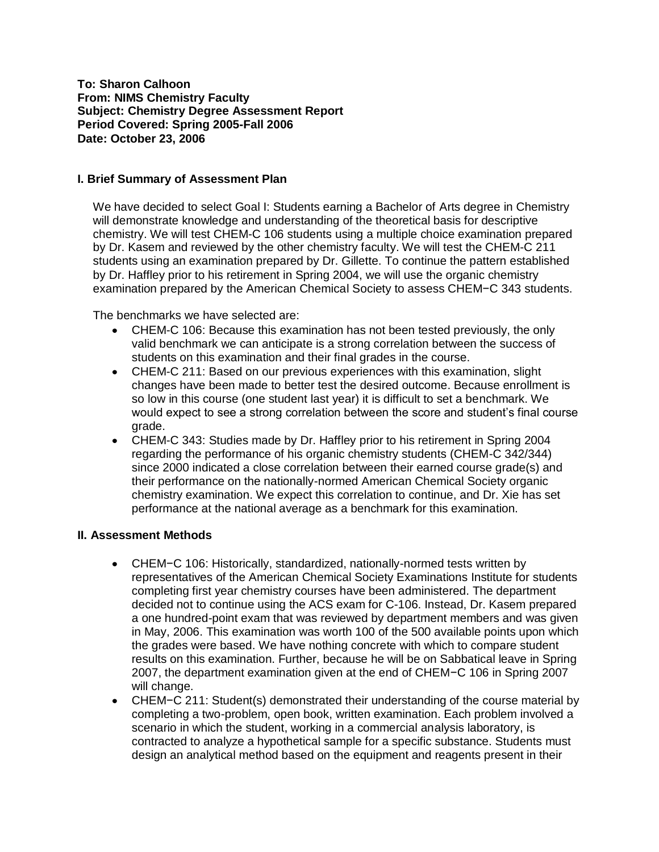**To: Sharon Calhoon From: NIMS Chemistry Faculty Subject: Chemistry Degree Assessment Report Period Covered: Spring 2005-Fall 2006 Date: October 23, 2006**

#### **I. Brief Summary of Assessment Plan**

We have decided to select Goal I: Students earning a Bachelor of Arts degree in Chemistry will demonstrate knowledge and understanding of the theoretical basis for descriptive chemistry. We will test CHEM-C 106 students using a multiple choice examination prepared by Dr. Kasem and reviewed by the other chemistry faculty. We will test the CHEM-C 211 students using an examination prepared by Dr. Gillette. To continue the pattern established by Dr. Haffley prior to his retirement in Spring 2004, we will use the organic chemistry examination prepared by the American Chemical Society to assess CHEM−C 343 students.

The benchmarks we have selected are:

- CHEM-C 106: Because this examination has not been tested previously, the only valid benchmark we can anticipate is a strong correlation between the success of students on this examination and their final grades in the course.
- CHEM-C 211: Based on our previous experiences with this examination, slight changes have been made to better test the desired outcome. Because enrollment is so low in this course (one student last year) it is difficult to set a benchmark. We would expect to see a strong correlation between the score and student's final course grade.
- CHEM-C 343: Studies made by Dr. Haffley prior to his retirement in Spring 2004 regarding the performance of his organic chemistry students (CHEM-C 342/344) since 2000 indicated a close correlation between their earned course grade(s) and their performance on the nationally-normed American Chemical Society organic chemistry examination. We expect this correlation to continue, and Dr. Xie has set performance at the national average as a benchmark for this examination.

## **II. Assessment Methods**

- CHEM−C 106: Historically, standardized, nationally-normed tests written by representatives of the American Chemical Society Examinations Institute for students completing first year chemistry courses have been administered. The department decided not to continue using the ACS exam for C-106. Instead, Dr. Kasem prepared a one hundred-point exam that was reviewed by department members and was given in May, 2006. This examination was worth 100 of the 500 available points upon which the grades were based. We have nothing concrete with which to compare student results on this examination. Further, because he will be on Sabbatical leave in Spring 2007, the department examination given at the end of CHEM−C 106 in Spring 2007 will change.
- CHEM−C 211: Student(s) demonstrated their understanding of the course material by completing a two-problem, open book, written examination. Each problem involved a scenario in which the student, working in a commercial analysis laboratory, is contracted to analyze a hypothetical sample for a specific substance. Students must design an analytical method based on the equipment and reagents present in their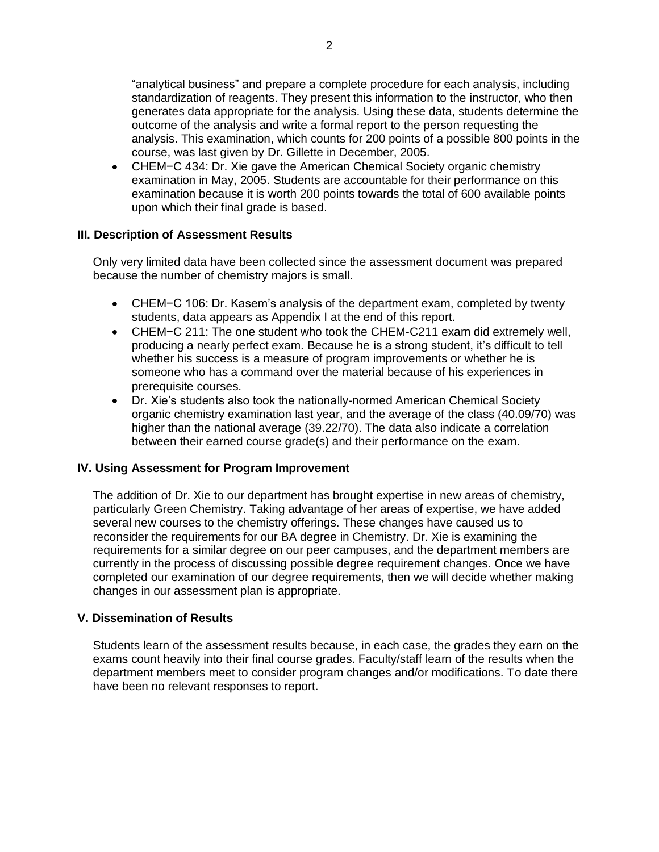"analytical business" and prepare a complete procedure for each analysis, including standardization of reagents. They present this information to the instructor, who then generates data appropriate for the analysis. Using these data, students determine the outcome of the analysis and write a formal report to the person requesting the analysis. This examination, which counts for 200 points of a possible 800 points in the course, was last given by Dr. Gillette in December, 2005.

CHEM−C 434: Dr. Xie gave the American Chemical Society organic chemistry examination in May, 2005. Students are accountable for their performance on this examination because it is worth 200 points towards the total of 600 available points upon which their final grade is based.

## **III. Description of Assessment Results**

Only very limited data have been collected since the assessment document was prepared because the number of chemistry majors is small.

- CHEM−C 106: Dr. Kasem's analysis of the department exam, completed by twenty students, data appears as Appendix I at the end of this report.
- CHEM−C 211: The one student who took the CHEM-C211 exam did extremely well, producing a nearly perfect exam. Because he is a strong student, it's difficult to tell whether his success is a measure of program improvements or whether he is someone who has a command over the material because of his experiences in prerequisite courses.
- Dr. Xie's students also took the nationally-normed American Chemical Society organic chemistry examination last year, and the average of the class (40.09/70) was higher than the national average (39.22/70). The data also indicate a correlation between their earned course grade(s) and their performance on the exam.

## **IV. Using Assessment for Program Improvement**

The addition of Dr. Xie to our department has brought expertise in new areas of chemistry, particularly Green Chemistry. Taking advantage of her areas of expertise, we have added several new courses to the chemistry offerings. These changes have caused us to reconsider the requirements for our BA degree in Chemistry. Dr. Xie is examining the requirements for a similar degree on our peer campuses, and the department members are currently in the process of discussing possible degree requirement changes. Once we have completed our examination of our degree requirements, then we will decide whether making changes in our assessment plan is appropriate.

## **V. Dissemination of Results**

Students learn of the assessment results because, in each case, the grades they earn on the exams count heavily into their final course grades. Faculty/staff learn of the results when the department members meet to consider program changes and/or modifications. To date there have been no relevant responses to report.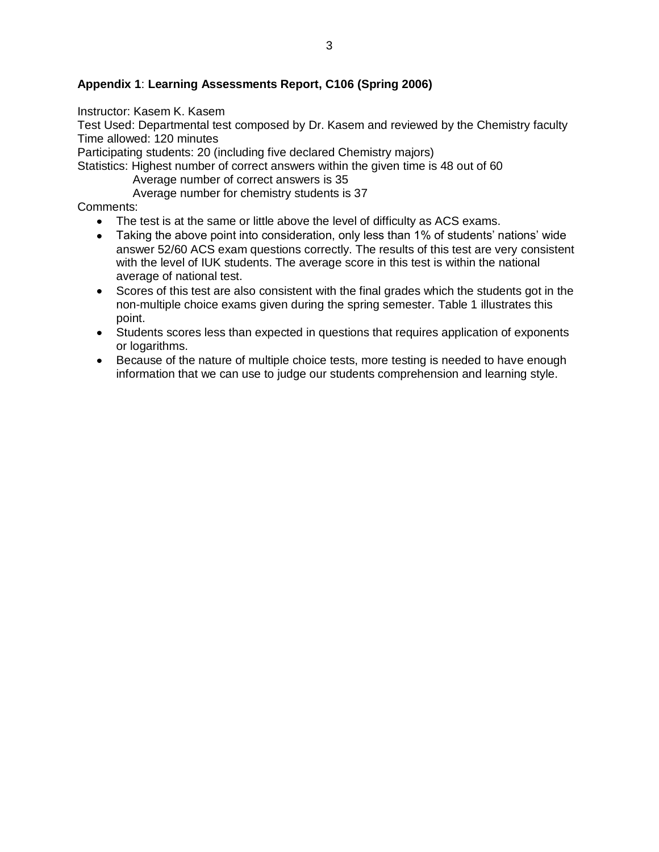# **Appendix 1**: **Learning Assessments Report, C106 (Spring 2006)**

#### Instructor: Kasem K. Kasem

Test Used: Departmental test composed by Dr. Kasem and reviewed by the Chemistry faculty Time allowed: 120 minutes

Participating students: 20 (including five declared Chemistry majors)

Statistics: Highest number of correct answers within the given time is 48 out of 60

Average number of correct answers is 35

Average number for chemistry students is 37

Comments:

- The test is at the same or little above the level of difficulty as ACS exams.  $\bullet$
- Taking the above point into consideration, only less than 1% of students' nations' wide  $\bullet$ answer 52/60 ACS exam questions correctly. The results of this test are very consistent with the level of IUK students. The average score in this test is within the national average of national test.
- Scores of this test are also consistent with the final grades which the students got in the non-multiple choice exams given during the spring semester. Table 1 illustrates this point.
- Students scores less than expected in questions that requires application of exponents or logarithms.
- Because of the nature of multiple choice tests, more testing is needed to have enough information that we can use to judge our students comprehension and learning style.